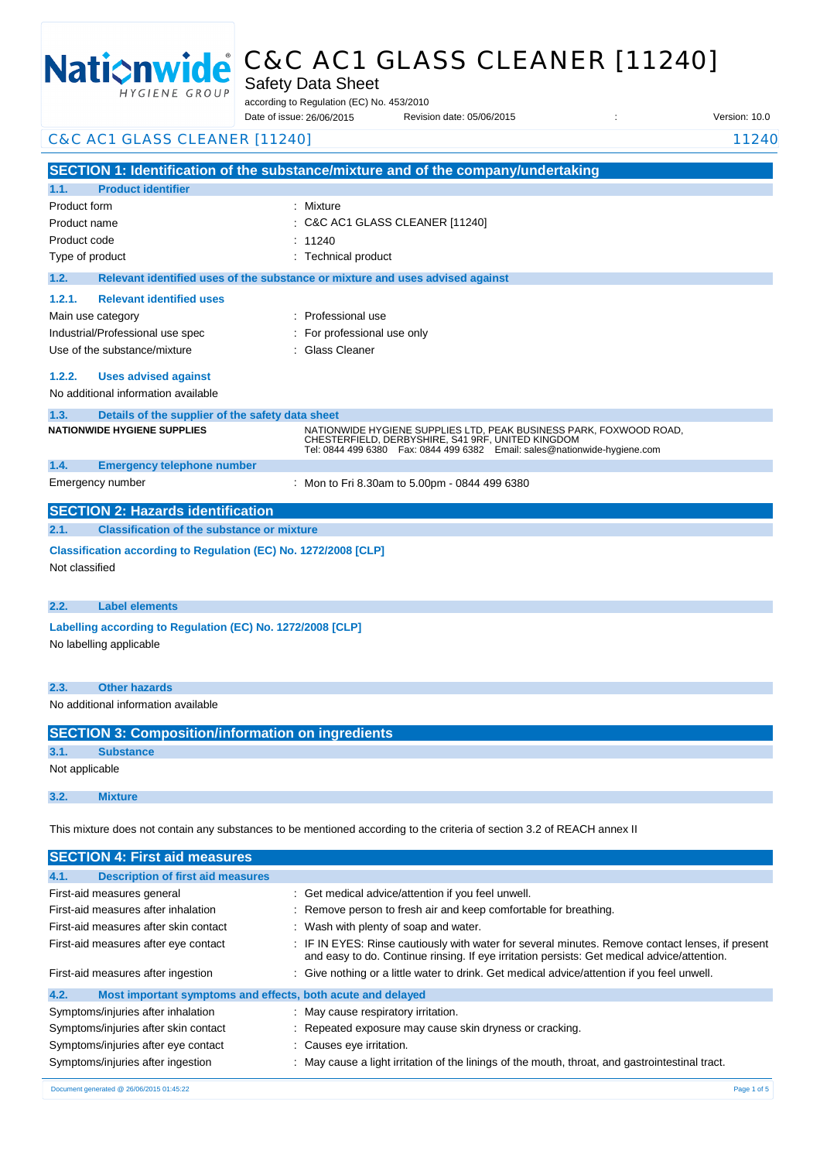

# C&C AC1 GLASS CLEANER [11240]

Safety Data Sheet

according to Regulation (EC) No. 453/2010

Date of issue: Revision date: 05/06/2015 : Version: 10.0 26/06/2015

C&C AC1 GLASS CLEANER [11240] 2022 11:240 11:240

**SECTION 1: Identification of the substance/mixture and of the company/undertaking 1.1. Product identifier** Product form : Nixture : Mixture Product name : Product code Type of product Type of product in the set of the set of the set of the set of the set of the set of the set of the set of the set of the set of the set of the set of the set of the set of the set of the set of the set of **1.2. Relevant identified uses of the substance or mixture and uses advised against 1.2.1. Relevant identified uses**  Main use category **intervalled** and the category of the category of the category of the category of the category Industrial/Professional use spec : For professional use only Use of the substance/mixture **in the substance/mixture** in Glass Cleaner **1.2.2. Uses advised against** No additional information available **1.3. Details of the supplier of the safety data sheet 1.4. Emergency telephone number** Emergency number : **SECTION 2: Hazards identification 2.1. Classification of the substance or mixture Classification according to Regulation (EC) No. 1272/2008 [CLP]** Not classified **2.2. Label elements Labelling according to Regulation (EC) No. 1272/2008 [CLP]** No labelling applicable **2.3. Other hazards** C&C AC1 GLASS CLEANER [11240]  $: 11240$ **NATIONWIDE HYGIENE SUPPLIES** NATIONWIDE HYGIENE SUPPLIES LTD, PEAK BUSINESS PARK, FOXWOOD ROAD, CHESTERFIELD, DERBYSHIRE, S41 9RF, UNITED KINGDOM Tel: 0844 499 6380 Fax: 0844 499 6382 Email: sales@nationwide-hygiene.com Mon to Fri 8.30am to 5.00pm - 0844 499 6380

No additional information available

| <b>SECTION 3: Composition/information on ingredients</b> |                  |  |  |
|----------------------------------------------------------|------------------|--|--|
| 3.1.                                                     | <b>Substance</b> |  |  |
| Not applicable                                           |                  |  |  |
|                                                          |                  |  |  |
| 3.2.                                                     | <b>Mixture</b>   |  |  |

This mixture does not contain any substances to be mentioned according to the criteria of section 3.2 of REACH annex II

| <b>SECTION 4: First aid measures</b>                                |                                                                                                                                                                                                 |  |  |
|---------------------------------------------------------------------|-------------------------------------------------------------------------------------------------------------------------------------------------------------------------------------------------|--|--|
| <b>Description of first aid measures</b><br>4.1.                    |                                                                                                                                                                                                 |  |  |
| First-aid measures general                                          | : Get medical advice/attention if you feel unwell.                                                                                                                                              |  |  |
| First-aid measures after inhalation                                 | : Remove person to fresh air and keep comfortable for breathing.                                                                                                                                |  |  |
| First-aid measures after skin contact                               | : Wash with plenty of soap and water.                                                                                                                                                           |  |  |
| First-aid measures after eye contact                                | : IF IN EYES: Rinse cautiously with water for several minutes. Remove contact lenses, if present<br>and easy to do. Continue rinsing. If eye irritation persists: Get medical advice/attention. |  |  |
| First-aid measures after ingestion                                  | : Give nothing or a little water to drink. Get medical advice/attention if you feel unwell.                                                                                                     |  |  |
| 4.2.<br>Most important symptoms and effects, both acute and delayed |                                                                                                                                                                                                 |  |  |
| Symptoms/injuries after inhalation                                  | : May cause respiratory irritation.                                                                                                                                                             |  |  |
| Symptoms/injuries after skin contact                                | : Repeated exposure may cause skin dryness or cracking.                                                                                                                                         |  |  |
| Symptoms/injuries after eye contact                                 | : Causes eye irritation.                                                                                                                                                                        |  |  |
| Symptoms/injuries after ingestion                                   | : May cause a light irritation of the linings of the mouth, throat, and gastrointestinal tract.                                                                                                 |  |  |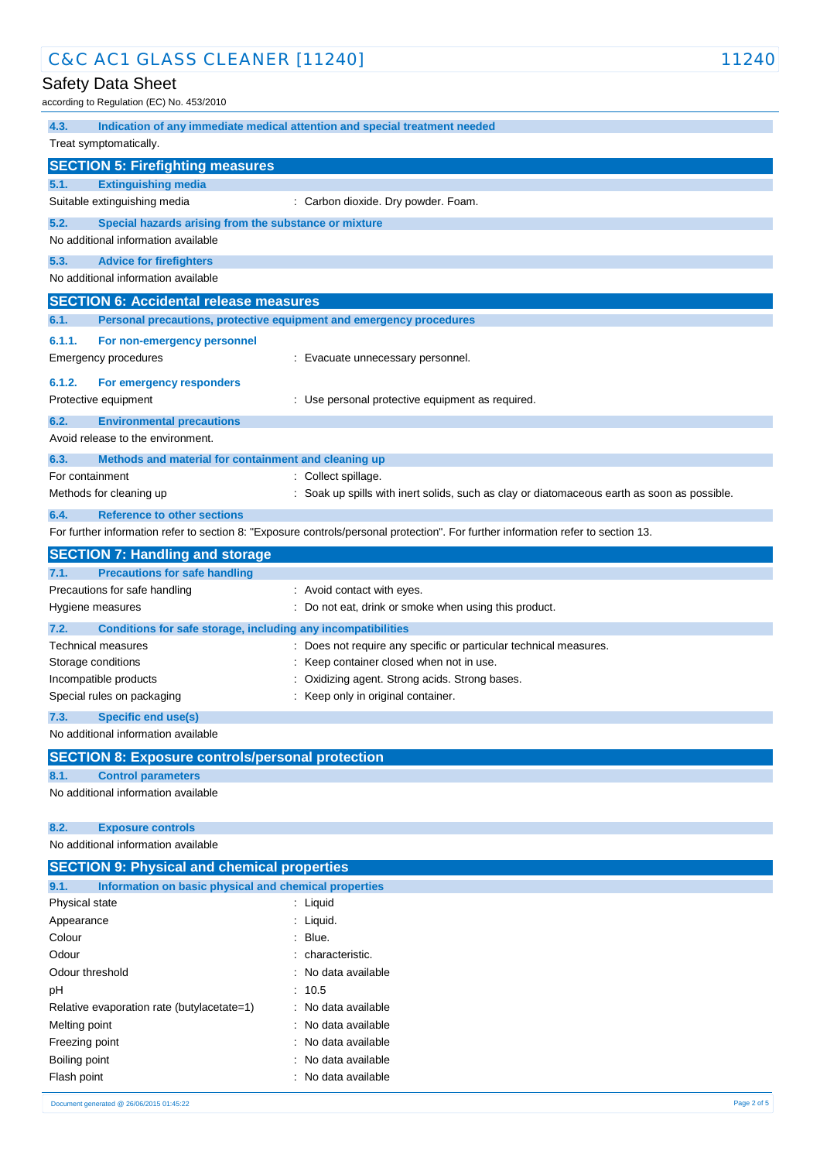| C&C AC1 GLASS CLEANER [11240]                                           | 11240                                                                                                                             |  |  |
|-------------------------------------------------------------------------|-----------------------------------------------------------------------------------------------------------------------------------|--|--|
| <b>Safety Data Sheet</b>                                                |                                                                                                                                   |  |  |
| according to Regulation (EC) No. 453/2010                               |                                                                                                                                   |  |  |
| 4.3.                                                                    | Indication of any immediate medical attention and special treatment needed                                                        |  |  |
| Treat symptomatically.                                                  |                                                                                                                                   |  |  |
| <b>SECTION 5: Firefighting measures</b>                                 |                                                                                                                                   |  |  |
| <b>Extinguishing media</b><br>5.1.                                      |                                                                                                                                   |  |  |
| Suitable extinguishing media                                            | : Carbon dioxide. Dry powder. Foam.                                                                                               |  |  |
| 5.2.<br>Special hazards arising from the substance or mixture           |                                                                                                                                   |  |  |
| No additional information available                                     |                                                                                                                                   |  |  |
| 5.3.<br><b>Advice for firefighters</b>                                  |                                                                                                                                   |  |  |
| No additional information available                                     |                                                                                                                                   |  |  |
| <b>SECTION 6: Accidental release measures</b>                           |                                                                                                                                   |  |  |
| 6.1.                                                                    | Personal precautions, protective equipment and emergency procedures                                                               |  |  |
| 6.1.1.<br>For non-emergency personnel                                   |                                                                                                                                   |  |  |
| <b>Emergency procedures</b>                                             | : Evacuate unnecessary personnel.                                                                                                 |  |  |
| 6.1.2.<br>For emergency responders                                      |                                                                                                                                   |  |  |
| Protective equipment                                                    | : Use personal protective equipment as required.                                                                                  |  |  |
| 6.2.<br><b>Environmental precautions</b>                                |                                                                                                                                   |  |  |
| Avoid release to the environment.                                       |                                                                                                                                   |  |  |
| 6.3.                                                                    |                                                                                                                                   |  |  |
| Methods and material for containment and cleaning up<br>For containment | : Collect spillage.                                                                                                               |  |  |
| Methods for cleaning up                                                 | : Soak up spills with inert solids, such as clay or diatomaceous earth as soon as possible.                                       |  |  |
| 6.4.<br><b>Reference to other sections</b>                              |                                                                                                                                   |  |  |
|                                                                         | For further information refer to section 8: "Exposure controls/personal protection". For further information refer to section 13. |  |  |
| <b>SECTION 7: Handling and storage</b>                                  |                                                                                                                                   |  |  |
| <b>Precautions for safe handling</b><br>7.1.                            |                                                                                                                                   |  |  |
| Precautions for safe handling                                           | : Avoid contact with eyes.                                                                                                        |  |  |
| Hygiene measures                                                        | : Do not eat, drink or smoke when using this product.                                                                             |  |  |
| 7.2.<br>Conditions for safe storage, including any incompatibilities    |                                                                                                                                   |  |  |
| Technical measures                                                      | : Does not require any specific or particular technical measures.                                                                 |  |  |
| Storage conditions                                                      | : Keep container closed when not in use.                                                                                          |  |  |
| Incompatible products                                                   | Oxidizing agent. Strong acids. Strong bases.                                                                                      |  |  |
| Special rules on packaging                                              | : Keep only in original container.                                                                                                |  |  |
| <b>Specific end use(s)</b><br>7.3.                                      |                                                                                                                                   |  |  |
| No additional information available                                     |                                                                                                                                   |  |  |
| <b>SECTION 8: Exposure controls/personal protection</b>                 |                                                                                                                                   |  |  |
| 8.1.<br><b>Control parameters</b>                                       |                                                                                                                                   |  |  |
| No additional information available                                     |                                                                                                                                   |  |  |
|                                                                         |                                                                                                                                   |  |  |
| 8.2.<br><b>Exposure controls</b>                                        |                                                                                                                                   |  |  |
| No additional information available                                     |                                                                                                                                   |  |  |
| <b>SECTION 9: Physical and chemical properties</b>                      |                                                                                                                                   |  |  |
| 9.1.<br>Information on basic physical and chemical properties           |                                                                                                                                   |  |  |
| Physical state                                                          | : Liquid                                                                                                                          |  |  |
| Appearance                                                              | : Liquid.                                                                                                                         |  |  |
| Colour                                                                  | : Blue.                                                                                                                           |  |  |
| Odour                                                                   | characteristic.                                                                                                                   |  |  |
| Odour threshold                                                         | : No data available                                                                                                               |  |  |
| рH                                                                      | : 10.5                                                                                                                            |  |  |

Relative evaporation rate (butylacetate=1) : No data available Melting point **in the case of the case of the case of the case of the case of the case of the case of the case of the case of the case of the case of the case of the case of the case of the case of the case of the case of** Freezing point **Example 20** and the state of the ST energy of the ST energy in the ST energy in the ST energy in the ST energy in the ST energy in the ST energy in the ST energy in the ST energy in the ST energy in the ST Boiling point **in the case of the case of the case of the case of the case of the case of the case of the case of the case of the case of the case of the case of the case of the case of the case of the case of the case of**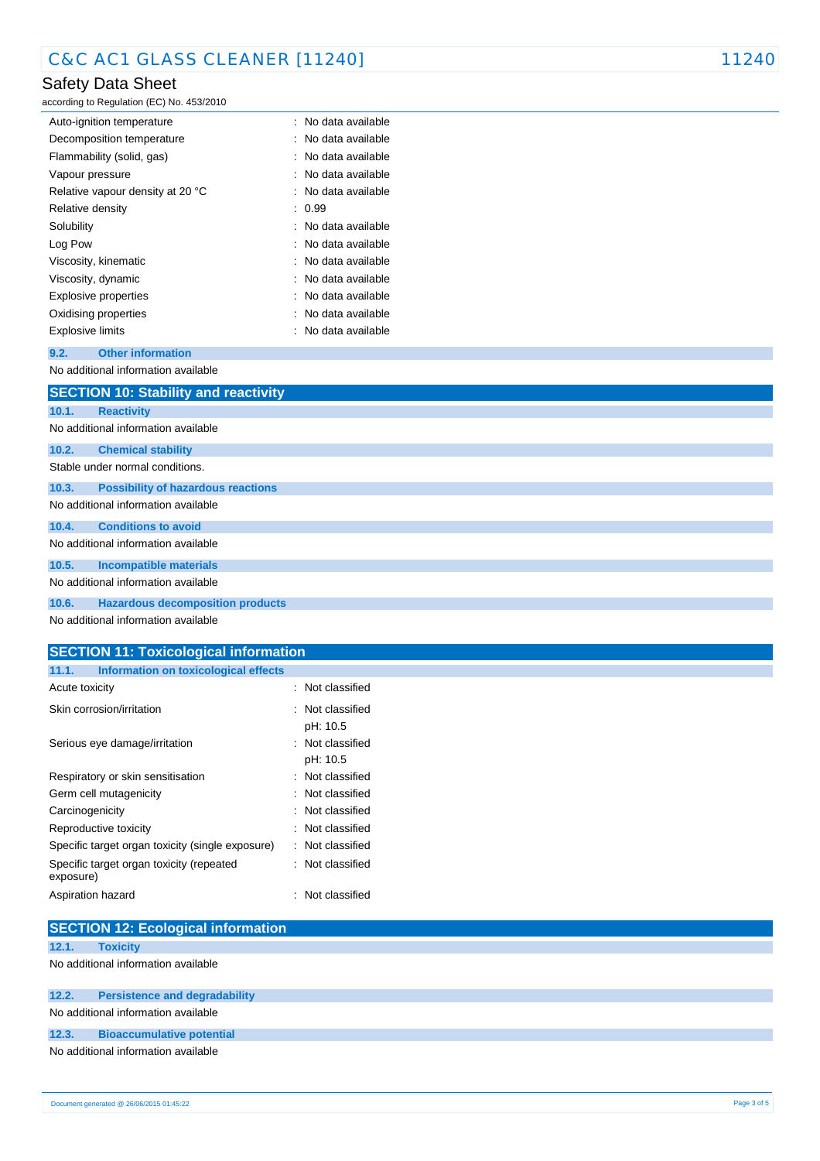# Safety Data Sheet

according to Regulation (EC) No. 453/2010

| Auto-ignition temperature        | : No data available |
|----------------------------------|---------------------|
| Decomposition temperature        | : No data available |
| Flammability (solid, gas)        | : No data available |
| Vapour pressure                  | : No data available |
| Relative vapour density at 20 °C | : No data available |
| Relative density                 | : 0.99              |
| Solubility                       | : No data available |
| Log Pow                          | : No data available |
| Viscosity, kinematic             | : No data available |
| Viscosity, dynamic               | : No data available |
| Explosive properties             | : No data available |
| Oxidising properties             | : No data available |
| <b>Explosive limits</b>          | : No data available |

### **9.2. Other information** No additional information available

|                                     | <b>SECTION 10: Stability and reactivity</b> |  |  |
|-------------------------------------|---------------------------------------------|--|--|
| 10.1.                               | <b>Reactivity</b>                           |  |  |
| No additional information available |                                             |  |  |
| 10.2.                               | <b>Chemical stability</b>                   |  |  |
| Stable under normal conditions.     |                                             |  |  |
| 10.3.                               | <b>Possibility of hazardous reactions</b>   |  |  |
| No additional information available |                                             |  |  |
| 10.4.                               | <b>Conditions to avoid</b>                  |  |  |
| No additional information available |                                             |  |  |
| 10.5.                               | <b>Incompatible materials</b>               |  |  |
| No additional information available |                                             |  |  |
| 10.6.                               | <b>Hazardous decomposition products</b>     |  |  |
|                                     | No additional information available         |  |  |

## **SECTION 11: Toxicological information**

| 11.1.<br>Information on toxicological effects         |                  |
|-------------------------------------------------------|------------------|
| Acute toxicity                                        | : Not classified |
| Skin corrosion/irritation                             | : Not classified |
|                                                       | pH: 10.5         |
| Serious eye damage/irritation                         | : Not classified |
|                                                       | pH: 10.5         |
| Respiratory or skin sensitisation                     | : Not classified |
| Germ cell mutagenicity                                | : Not classified |
| Carcinogenicity                                       | : Not classified |
| Reproductive toxicity                                 | : Not classified |
| Specific target organ toxicity (single exposure)      | : Not classified |
| Specific target organ toxicity (repeated<br>exposure) | : Not classified |
| Aspiration hazard                                     | : Not classified |

| <b>SECTION 12: Ecological information</b> |                                      |  |
|-------------------------------------------|--------------------------------------|--|
| 12.1.                                     | <b>Toxicity</b>                      |  |
| No additional information available       |                                      |  |
| 12.2.                                     | <b>Persistence and degradability</b> |  |
| No additional information available       |                                      |  |
| 12.3.                                     | <b>Bioaccumulative potential</b>     |  |
| No additional information available       |                                      |  |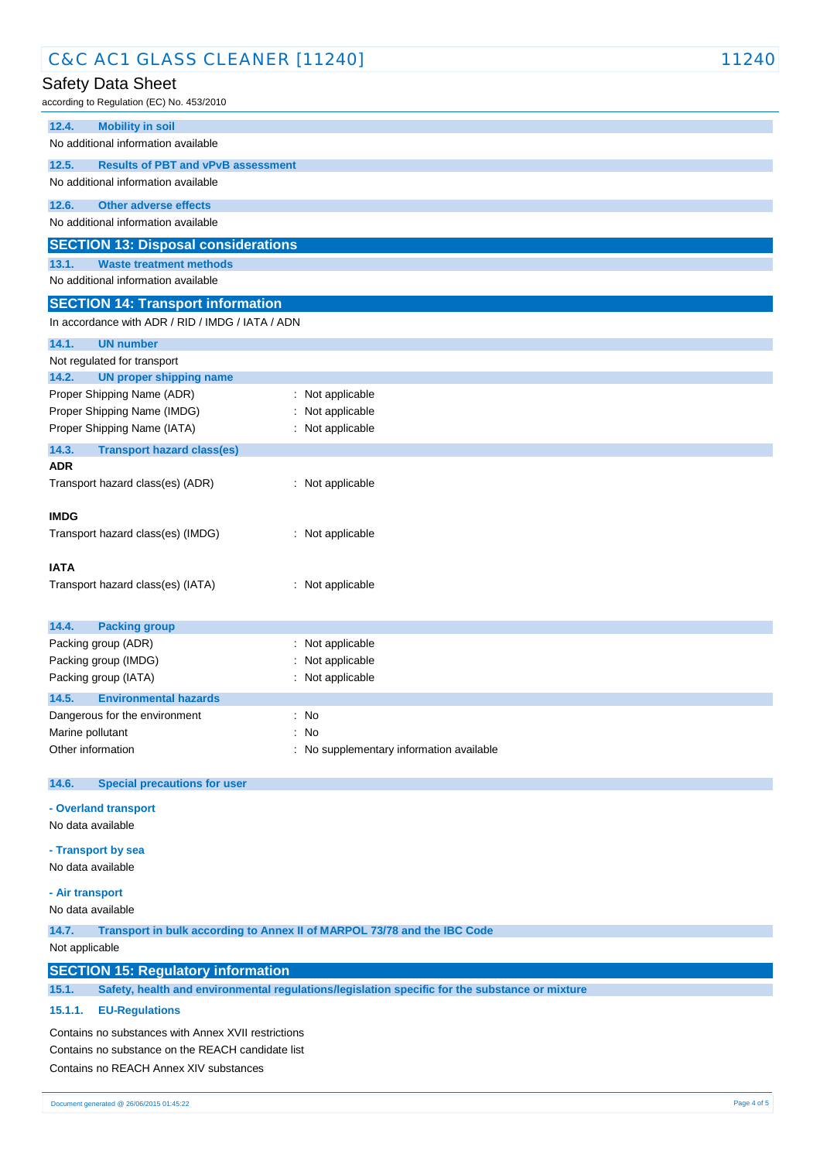| C&C AC1 GLASS CLEANER [11240]                                                                           |                                                   | 11240 |  |
|---------------------------------------------------------------------------------------------------------|---------------------------------------------------|-------|--|
| Safety Data Sheet                                                                                       |                                                   |       |  |
| according to Regulation (EC) No. 453/2010                                                               |                                                   |       |  |
| 12.4.<br><b>Mobility in soil</b>                                                                        |                                                   |       |  |
| No additional information available                                                                     |                                                   |       |  |
| 12.5.<br><b>Results of PBT and vPvB assessment</b>                                                      |                                                   |       |  |
| No additional information available                                                                     |                                                   |       |  |
| 12.6.<br><b>Other adverse effects</b>                                                                   |                                                   |       |  |
| No additional information available                                                                     |                                                   |       |  |
| <b>SECTION 13: Disposal considerations</b>                                                              |                                                   |       |  |
| 13.1.<br><b>Waste treatment methods</b>                                                                 |                                                   |       |  |
| No additional information available                                                                     |                                                   |       |  |
| <b>SECTION 14: Transport information</b>                                                                |                                                   |       |  |
| In accordance with ADR / RID / IMDG / IATA / ADN                                                        |                                                   |       |  |
|                                                                                                         |                                                   |       |  |
| 14.1.<br><b>UN number</b>                                                                               |                                                   |       |  |
| Not regulated for transport<br>14.2.<br><b>UN proper shipping name</b>                                  |                                                   |       |  |
| Proper Shipping Name (ADR)                                                                              | : Not applicable                                  |       |  |
| Proper Shipping Name (IMDG)                                                                             | Not applicable                                    |       |  |
| Proper Shipping Name (IATA)                                                                             | : Not applicable                                  |       |  |
| 14.3.<br><b>Transport hazard class(es)</b>                                                              |                                                   |       |  |
| <b>ADR</b>                                                                                              |                                                   |       |  |
| Transport hazard class(es) (ADR)                                                                        | : Not applicable                                  |       |  |
|                                                                                                         |                                                   |       |  |
| <b>IMDG</b>                                                                                             |                                                   |       |  |
| Transport hazard class(es) (IMDG)                                                                       | : Not applicable                                  |       |  |
|                                                                                                         |                                                   |       |  |
| <b>IATA</b>                                                                                             |                                                   |       |  |
| Transport hazard class(es) (IATA)                                                                       | : Not applicable                                  |       |  |
|                                                                                                         |                                                   |       |  |
| 14.4.<br><b>Packing group</b>                                                                           |                                                   |       |  |
| Packing group (ADR)                                                                                     | : Not applicable                                  |       |  |
| Packing group (IMDG)<br>Packing group (IATA)                                                            | Not applicable<br>: Not applicable                |       |  |
|                                                                                                         |                                                   |       |  |
| 14.5.<br><b>Environmental hazards</b><br>Dangerous for the environment                                  | : No                                              |       |  |
| Marine pollutant                                                                                        | : No                                              |       |  |
| Other information                                                                                       | : No supplementary information available          |       |  |
|                                                                                                         |                                                   |       |  |
| 14.6.<br><b>Special precautions for user</b>                                                            |                                                   |       |  |
| - Overland transport                                                                                    |                                                   |       |  |
| No data available                                                                                       |                                                   |       |  |
|                                                                                                         |                                                   |       |  |
| - Transport by sea                                                                                      |                                                   |       |  |
| No data available                                                                                       |                                                   |       |  |
| - Air transport                                                                                         |                                                   |       |  |
| No data available                                                                                       |                                                   |       |  |
| 14.7.<br>Transport in bulk according to Annex II of MARPOL 73/78 and the IBC Code                       |                                                   |       |  |
| Not applicable                                                                                          |                                                   |       |  |
| <b>SECTION 15: Regulatory information</b>                                                               |                                                   |       |  |
| Safety, health and environmental regulations/legislation specific for the substance or mixture<br>15.1. |                                                   |       |  |
| 15.1.1.<br><b>EU-Regulations</b>                                                                        |                                                   |       |  |
| Contains no substances with Annex XVII restrictions                                                     |                                                   |       |  |
|                                                                                                         | Contains no substance on the REACH candidate list |       |  |
| Contains no REACH Annex XIV substances                                                                  |                                                   |       |  |